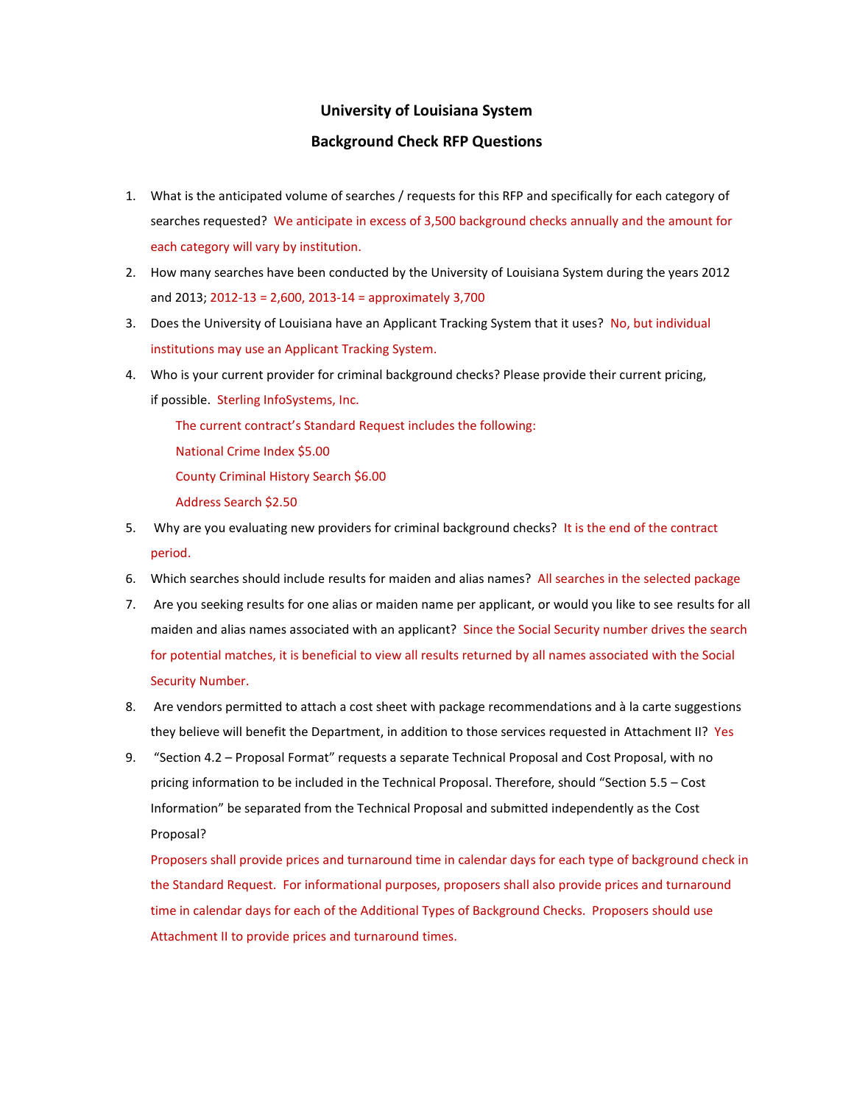## **University of Louisiana System**

## **Background Check RFP Questions**

- 1. What is the anticipated volume of searches / requests for this RFP and specifically for each category of searches requested? We anticipate in excess of 3,500 background checks annually and the amount for each category will vary by institution.
- 2. How many searches have been conducted by the University of Louisiana System during the years 2012 and 2013; 2012-13 = 2,600, 2013-14 = approximately 3,700
- 3. Does the University of Louisiana have an Applicant Tracking System that it uses? No, but individual institutions may use an Applicant Tracking System.
- 4. Who is your current provider for criminal background checks? Please provide their current pricing, if possible. Sterling InfoSystems, Inc.

The current contract's Standard Request includes the following:

- National Crime Index \$5.00
- County Criminal History Search \$6.00
- Address Search \$2.50
- 5. Why are you evaluating new providers for criminal background checks? It is the end of the contract period.
- 6. Which searches should include results for maiden and alias names? All searches in the selected package
- 7. Are you seeking results for one alias or maiden name per applicant, or would you like to see results for all maiden and alias names associated with an applicant? Since the Social Security number drives the search for potential matches, it is beneficial to view all results returned by all names associated with the Social Security Number.
- 8. Are vendors permitted to attach a cost sheet with package recommendations and à la carte suggestions they believe will benefit the Department, in addition to those services requested in Attachment II? Yes
- 9. "Section 4.2 Proposal Format" requests a separate Technical Proposal and Cost Proposal, with no pricing information to be included in the Technical Proposal. Therefore, should "Section 5.5 – Cost Information" be separated from the Technical Proposal and submitted independently as the Cost Proposal?

Proposers shall provide prices and turnaround time in calendar days for each type of background check in the Standard Request. For informational purposes, proposers shall also provide prices and turnaround time in calendar days for each of the Additional Types of Background Checks. Proposers should use Attachment II to provide prices and turnaround times.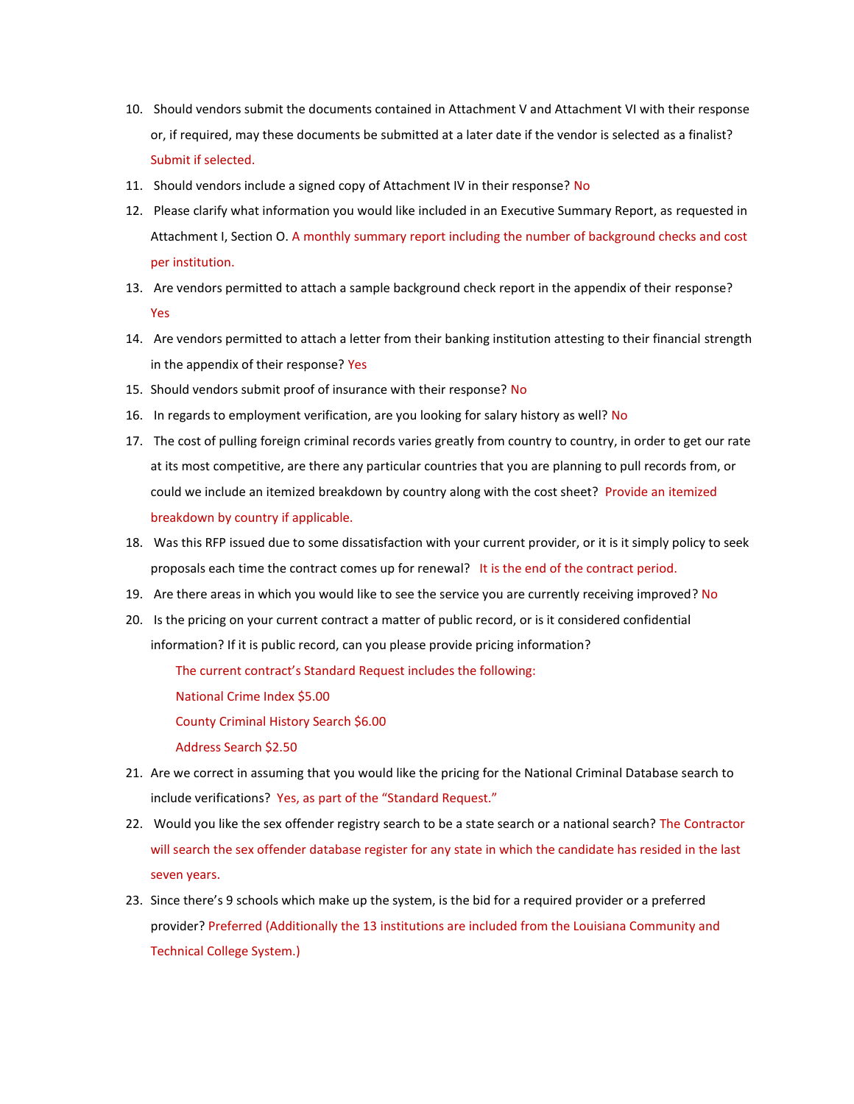- 10. Should vendors submit the documents contained in Attachment V and Attachment VI with their response or, if required, may these documents be submitted at a later date if the vendor is selected as a finalist? Submit if selected.
- 11. Should vendors include a signed copy of Attachment IV in their response? No
- 12. Please clarify what information you would like included in an Executive Summary Report, as requested in Attachment I, Section O. A monthly summary report including the number of background checks and cost per institution.
- 13. Are vendors permitted to attach a sample background check report in the appendix of their response? Yes
- 14. Are vendors permitted to attach a letter from their banking institution attesting to their financial strength in the appendix of their response? Yes
- 15. Should vendors submit proof of insurance with their response? No
- 16. In regards to employment verification, are you looking for salary history as well? No
- 17. The cost of pulling foreign criminal records varies greatly from country to country, in order to get our rate at its most competitive, are there any particular countries that you are planning to pull records from, or could we include an itemized breakdown by country along with the cost sheet? Provide an itemized breakdown by country if applicable.
- 18. Was this RFP issued due to some dissatisfaction with your current provider, or it is it simply policy to seek proposals each time the contract comes up for renewal? It is the end of the contract period.
- 19. Are there areas in which you would like to see the service you are currently receiving improved? No
- 20. Is the pricing on your current contract a matter of public record, or is it considered confidential information? If it is public record, can you please provide pricing information?

The current contract's Standard Request includes the following:

National Crime Index \$5.00

County Criminal History Search \$6.00

Address Search \$2.50

- 21. Are we correct in assuming that you would like the pricing for the National Criminal Database search to include verifications? Yes, as part of the "Standard Request."
- 22. Would you like the sex offender registry search to be a state search or a national search? The Contractor will search the sex offender database register for any state in which the candidate has resided in the last seven years.
- 23. Since there's 9 schools which make up the system, is the bid for a required provider or a preferred provider? Preferred (Additionally the 13 institutions are included from the Louisiana Community and Technical College System.)